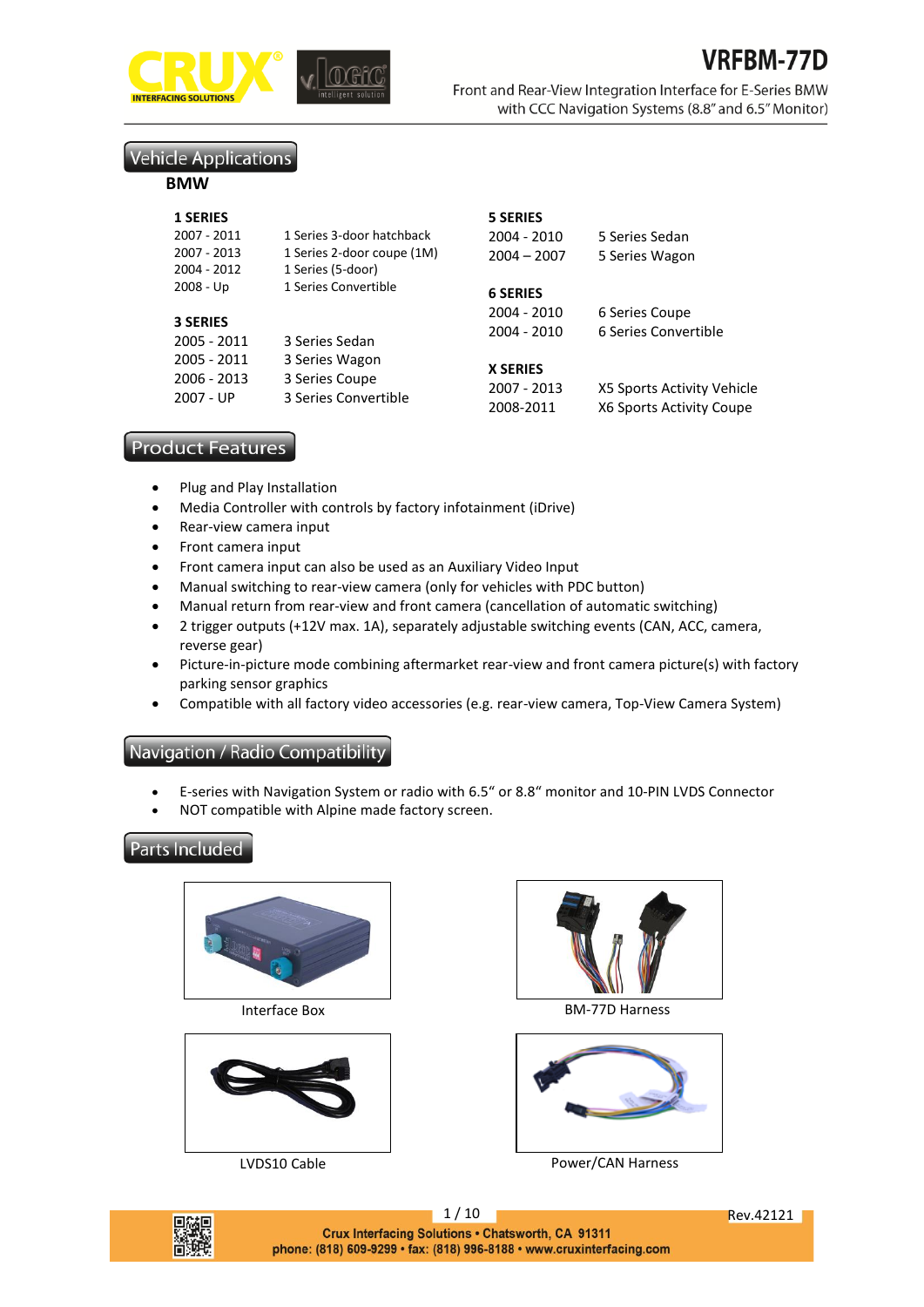

Front and Rear-View Integration Interface for E-Series BMW with CCC Navigation Systems (8.8" and 6.5" Monitor)

# **Vehicle Applications**

#### **BMW**

| <b>1 SERIES</b>            |                                                         | <b>5 SERIES</b>                |                                        |
|----------------------------|---------------------------------------------------------|--------------------------------|----------------------------------------|
| 2007 - 2011<br>2007 - 2013 | 1 Series 3-door hatchback<br>1 Series 2-door coupe (1M) | 2004 - 2010<br>$2004 - 2007$   | 5 Series Sedan<br>5 Series Wagon       |
| 2004 - 2012                | 1 Series (5-door)                                       |                                |                                        |
| $2008 - Up$                | 1 Series Convertible                                    | <b>6 SERIES</b>                |                                        |
| <b>3 SERIES</b>            |                                                         | 2004 - 2010<br>2004 - 2010     | 6 Series Coupe<br>6 Series Convertible |
| 2005 - 2011<br>2005 - 2011 | 3 Series Sedan<br>3 Series Wagon                        |                                |                                        |
| 2006 - 2013<br>2007 - UP   | 3 Series Coupe<br>3 Series Convertible                  | <b>X SERIES</b><br>2007 - 2013 | X5 Sports Activity Vehicle             |
|                            |                                                         | 2008-2011                      | X6 Sports Activity Coupe               |

# **Product Features**

- Plug and Play Installation
- Media Controller with controls by factory infotainment (iDrive)
- Rear-view camera input
- Front camera input
- Front camera input can also be used as an Auxiliary Video Input
- Manual switching to rear-view camera (only for vehicles with PDC button)
- Manual return from rear-view and front camera (cancellation of automatic switching)
- 2 trigger outputs (+12V max. 1A), separately adjustable switching events (CAN, ACC, camera, reverse gear)
- Picture-in-picture mode combining aftermarket rear-view and front camera picture(s) with factory parking sensor graphics
- Compatible with all factory video accessories (e.g. rear-view camera, Top-View Camera System)

# Navigation / Radio Compatibility

- E-series with Navigation System or radio with 6.5" or 8.8" monitor and 10-PIN LVDS Connector
- NOT compatible with Alpine made factory screen.

# **Parts Included**







Interface Box BM-77D Harness



LVDS10 Cable **Power/CAN Harness** 



1 / 10 Rev.42121 Crux Interfacing Solutions . Chatsworth, CA 91311 phone: (818) 609-9299 · fax: (818) 996-8188 · www.cruxinterfacing.com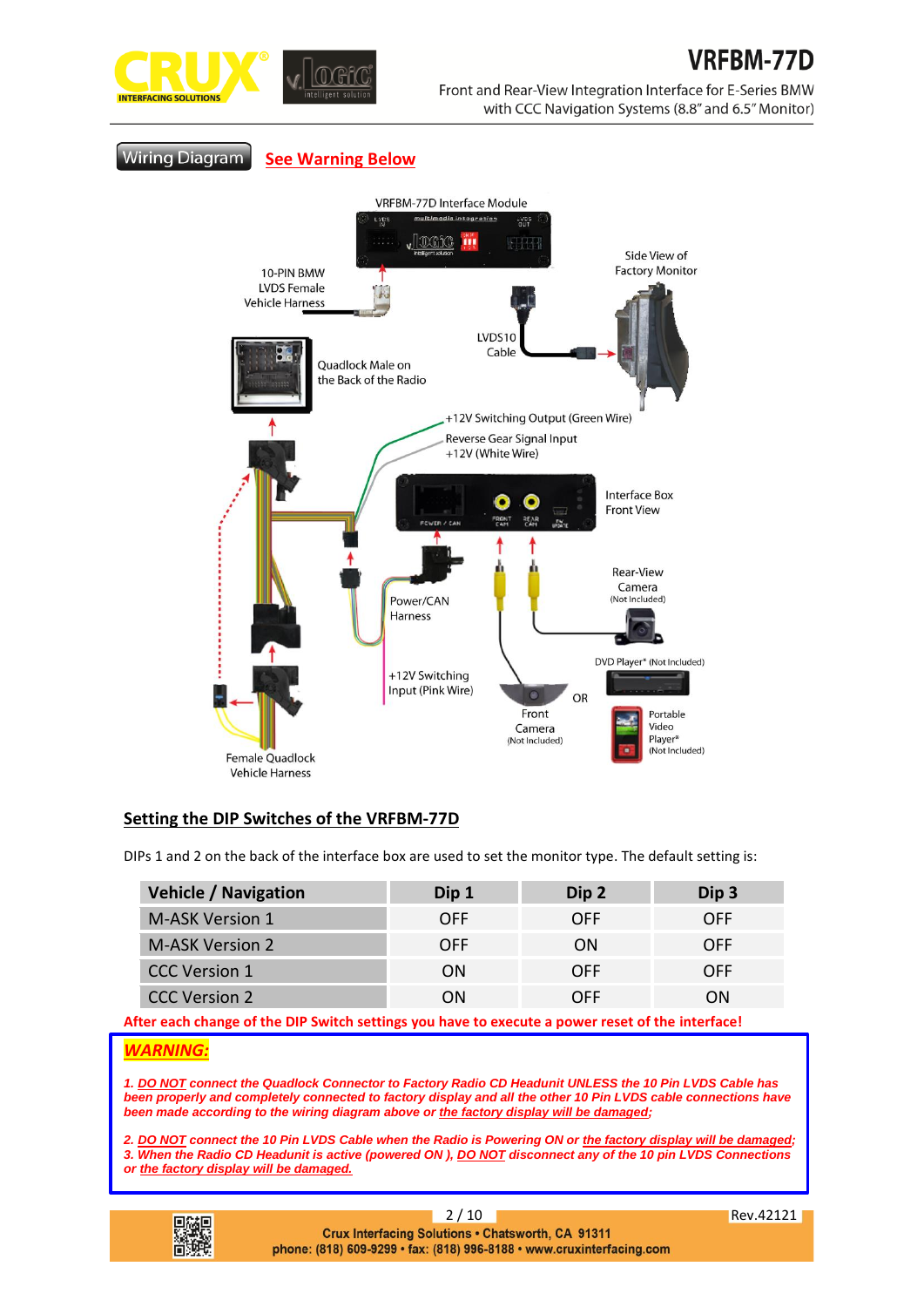Front and Rear-View Integration Interface for E-Series BMW with CCC Navigation Systems (8.8" and 6.5" Monitor)

**Wiring Diagram See Warning Below**



# **Setting the DIP Switches of the VRFBM-77D**

DIPs 1 and 2 on the back of the interface box are used to set the monitor type. The default setting is:

| <b>Vehicle / Navigation</b> | Dip 1      | Dip 2      | Dip 3      |
|-----------------------------|------------|------------|------------|
| <b>M-ASK Version 1</b>      | <b>OFF</b> | <b>OFF</b> | <b>OFF</b> |
| M-ASK Version 2             | <b>OFF</b> | ON         | <b>OFF</b> |
| <b>CCC Version 1</b>        | ON         | <b>OFF</b> | <b>OFF</b> |
| <b>CCC Version 2</b>        | OΝ         | OFF        | ΩN         |

**After each change of the DIP Switch settings you have to execute a power reset of the interface!**

## *WARNING:*

*1. DO NOT connect the Quadlock Connector to Factory Radio CD Headunit UNLESS the 10 Pin LVDS Cable has been properly and completely connected to factory display and all the other 10 Pin LVDS cable connections have been made according to the wiring diagram above or the factory display will be damaged;*

*2. DO NOT connect the 10 Pin LVDS Cable when the Radio is Powering ON or the factory display will be damaged; 3. When the Radio CD Headunit is active (powered ON ), DO NOT disconnect any of the 10 pin LVDS Connections or the factory display will be damaged.*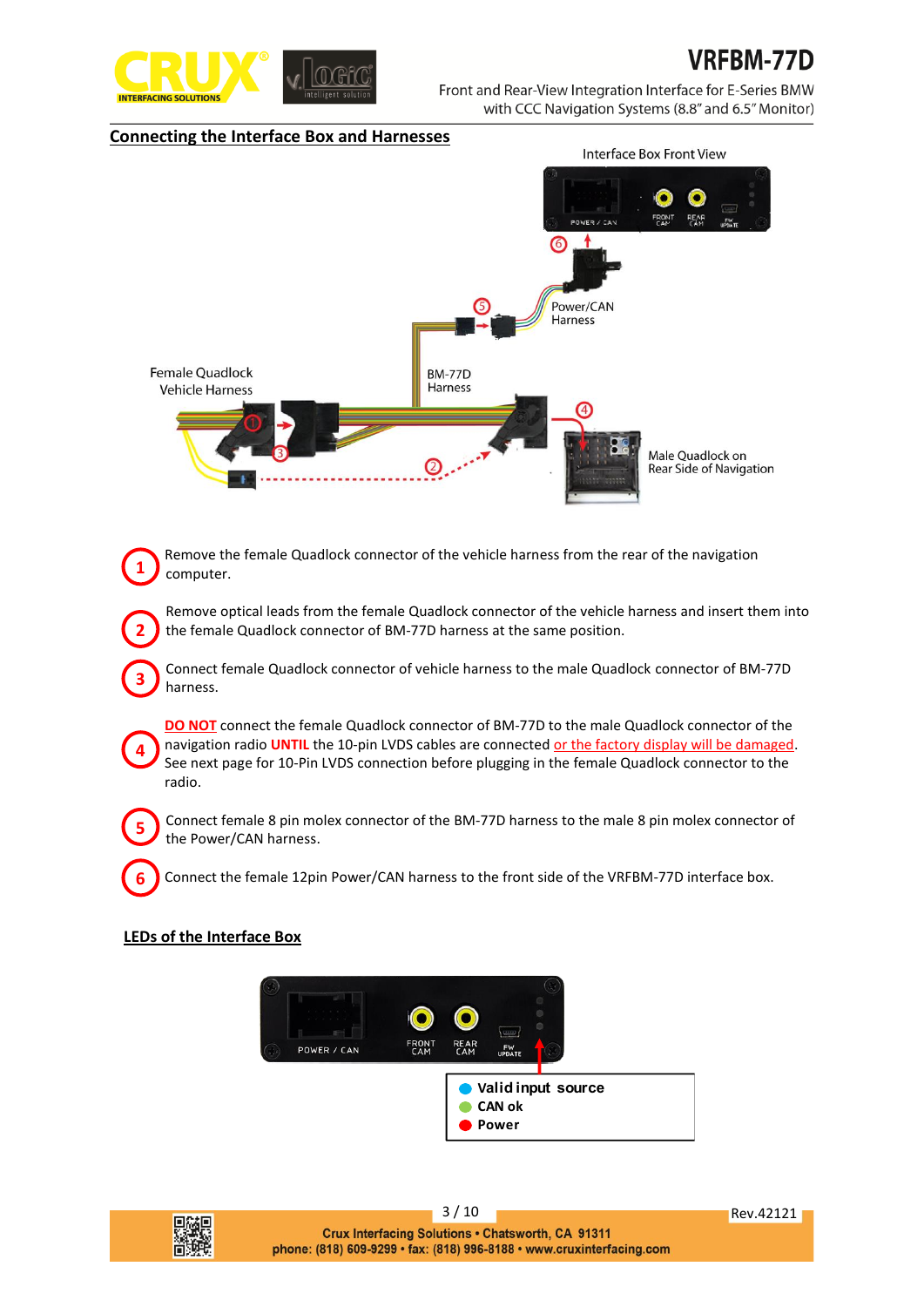

# **RFRM-77D**

Front and Rear-View Integration Interface for E-Series BMW with CCC Navigation Systems (8.8" and 6.5" Monitor)

#### **Connecting the Interface Box and Harnesses**



Remove the female Quadlock connector of the vehicle harness from the rear of the navigation computer.

Remove optical leads from the female Quadlock connector of the vehicle harness and insert them into the female Quadlock connector of BM-77D harness at the same position.

Connect female Quadlock connector of vehicle harness to the male Quadlock connector of BM-77D harness.

**DO NOT** connect the female Quadlock connector of BM-77D to the male Quadlock connector of the navigation radio **UNTIL** the 10-pin LVDS cables are connected or the factory display will be damaged. See next page for 10-Pin LVDS connection before plugging in the female Quadlock connector to the radio.

Connect female 8 pin molex connector of the BM-77D harness to the male 8 pin molex connector of the Power/CAN harness.

Connect the female 12pin Power/CAN harness to the front side of the VRFBM-77D interface box.

## **LEDs of the Interface Box**

**4**

**5**

**6**

**1**

**2**

**3**

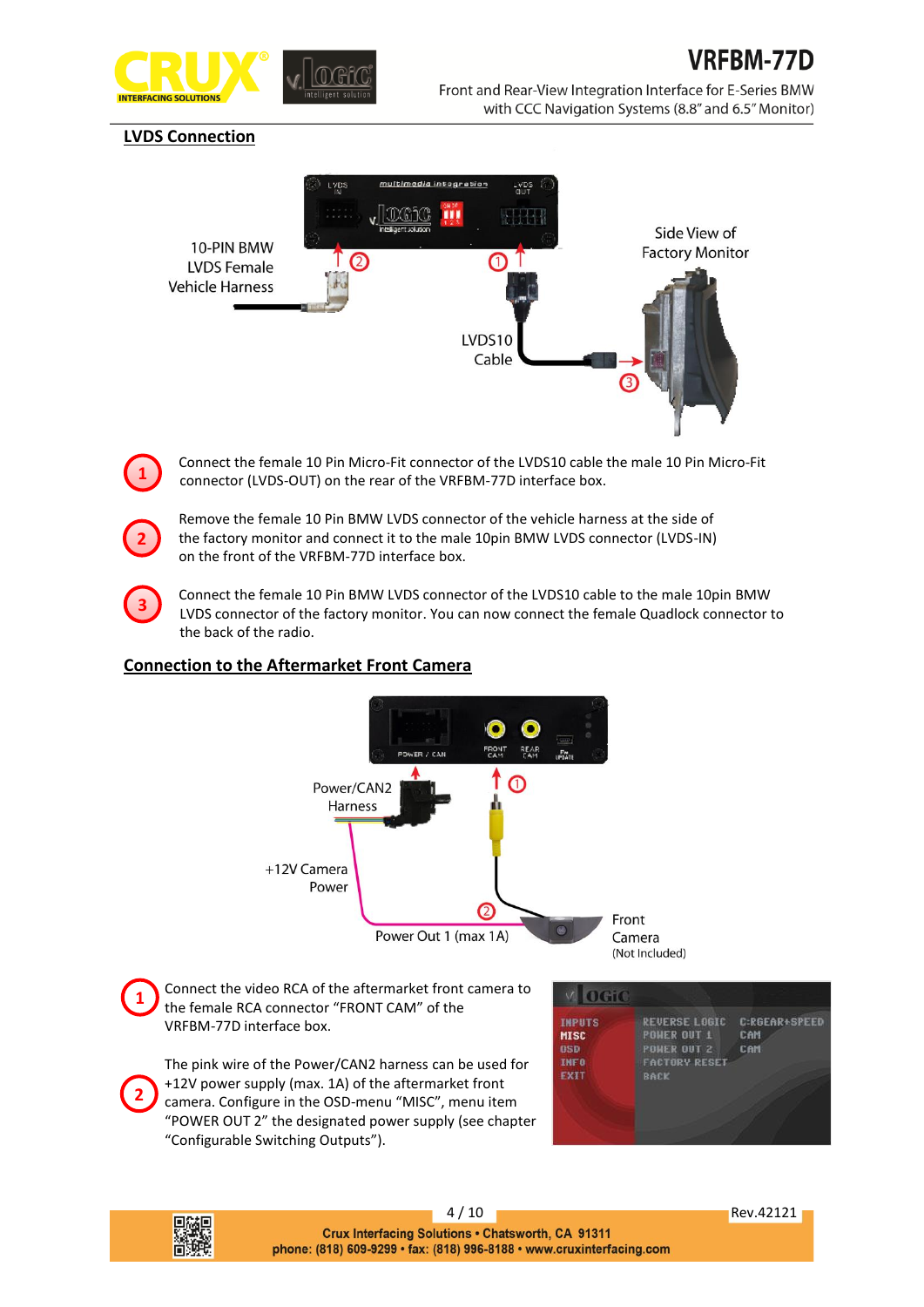

# **LVDS Connection**

**1**

**2**

**3**



Connect the female 10 Pin Micro-Fit connector of the LVDS10 cable the male 10 Pin Micro-Fit connector (LVDS-OUT) on the rear of the VRFBM-77D interface box.

Remove the female 10 Pin BMW LVDS connector of the vehicle harness at the side of the factory monitor and connect it to the male 10pin BMW LVDS connector (LVDS-IN) on the front of the VRFBM-77D interface box.

Connect the female 10 Pin BMW LVDS connector of the LVDS10 cable to the male 10pin BMW LVDS connector of the factory monitor. You can now connect the female Quadlock connector to the back of the radio.

# **Connection to the Aftermarket Front Camera**



4 / 10 Rev.42121 Crux Interfacing Solutions . Chatsworth, CA 91311 phone: (818) 609-9299 · fax: (818) 996-8188 · www.cruxinterfacing.com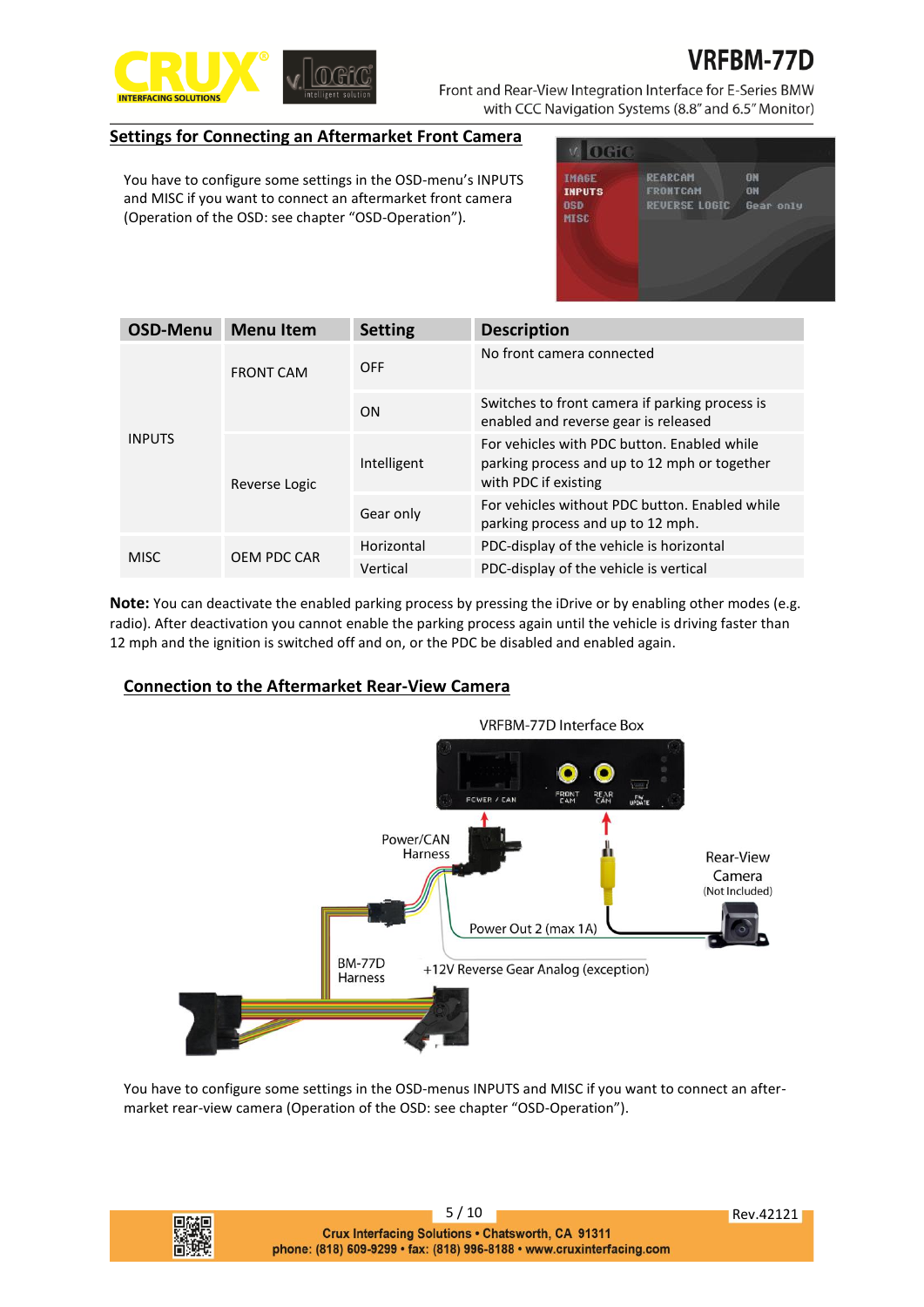

**FRM-77D** Front and Rear-View Integration Interface for E-Series BMW with CCC Navigation Systems (8.8" and 6.5" Monitor)

## **Settings for Connecting an Aftermarket Front Camera**

You have to configure some settings in the OSD-menu's INPUTS and MISC if you want to connect an aftermarket front camera (Operation of the OSD: see chapter "OSD-Operation").

| <b>IMAGE</b><br><b>INPUTS</b> | <b>REARCAM</b><br><b>FRONTCAM</b> | ON<br>ON  |
|-------------------------------|-----------------------------------|-----------|
| <b>OSD</b><br>MISC            | <b>REVERSE LOGIC</b>              | Gear only |
|                               |                                   |           |

| <b>OSD-Menu</b> | <b>Menu Item</b> | <b>Setting</b> | <b>Description</b>                                                                                                  |
|-----------------|------------------|----------------|---------------------------------------------------------------------------------------------------------------------|
| <b>INPUTS</b>   | <b>FRONT CAM</b> | <b>OFF</b>     | No front camera connected                                                                                           |
|                 |                  | <b>ON</b>      | Switches to front camera if parking process is<br>enabled and reverse gear is released                              |
|                 | Reverse Logic    | Intelligent    | For vehicles with PDC button. Enabled while<br>parking process and up to 12 mph or together<br>with PDC if existing |
|                 |                  | Gear only      | For vehicles without PDC button. Enabled while<br>parking process and up to 12 mph.                                 |
|                 |                  | Horizontal     | PDC-display of the vehicle is horizontal                                                                            |
| <b>MISC</b>     | OEM PDC CAR      | Vertical       | PDC-display of the vehicle is vertical                                                                              |

**Note:** You can deactivate the enabled parking process by pressing the iDrive or by enabling other modes (e.g. radio). After deactivation you cannot enable the parking process again until the vehicle is driving faster than 12 mph and the ignition is switched off and on, or the PDC be disabled and enabled again.

# **Connection to the Aftermarket Rear-View Camera**



You have to configure some settings in the OSD-menus INPUTS and MISC if you want to connect an aftermarket rear-view camera (Operation of the OSD: see chapter "OSD-Operation").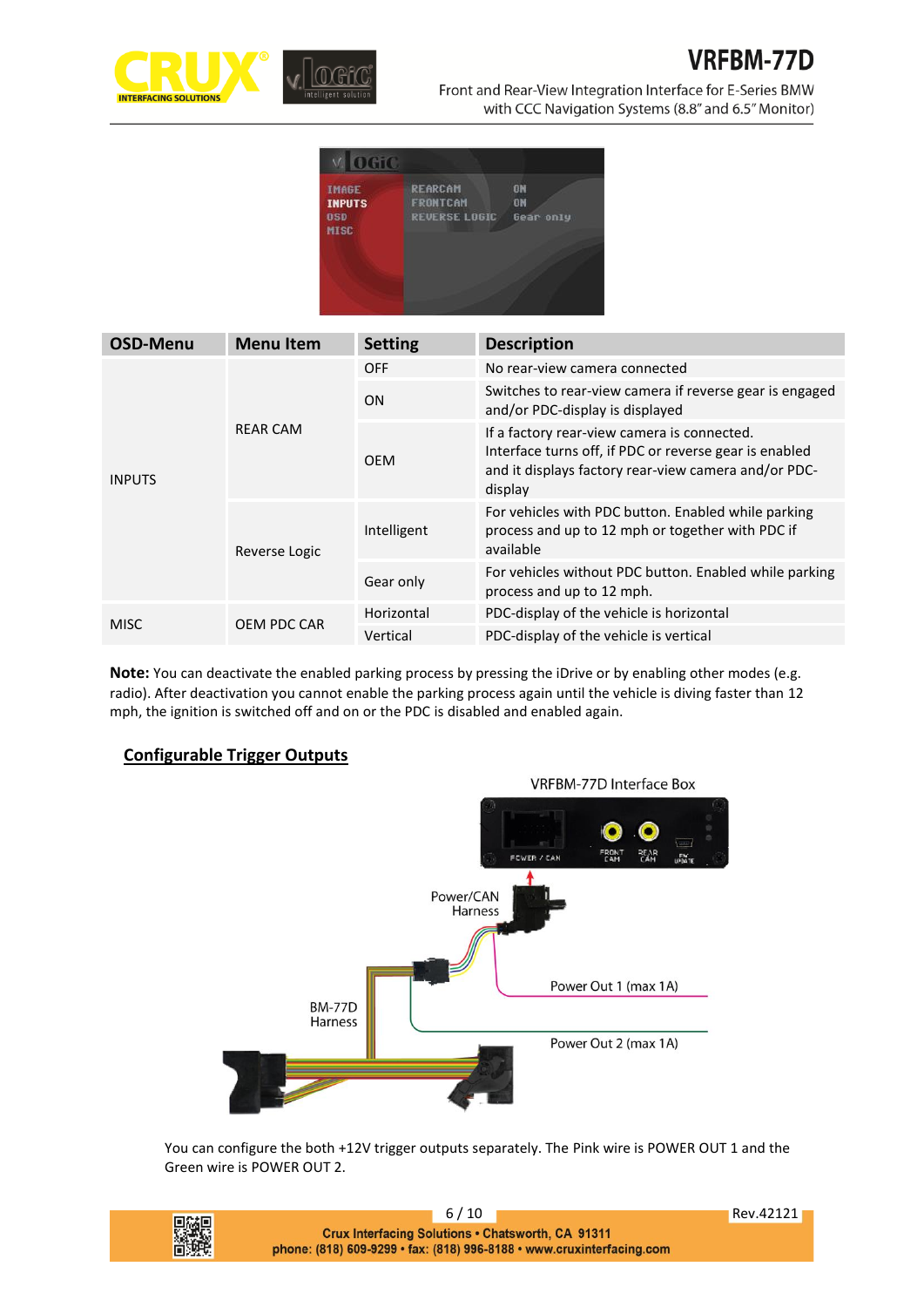

# **VRFBM-77D**

Front and Rear-View Integration Interface for E-Series BMW with CCC Navigation Systems (8.8" and 6.5" Monitor)

| <b>DETC</b>                                         |                                                           |                       |
|-----------------------------------------------------|-----------------------------------------------------------|-----------------------|
| <b>IMAGE</b><br><b>INPUTS</b><br><b>OSD</b><br>MISC | <b>REARCAM</b><br><b>FRONTCAM</b><br><b>REVERSE LOGIC</b> | ON<br>ON<br>Gear only |
|                                                     |                                                           |                       |

| <b>OSD-Menu</b> | <b>Menu Item</b> | <b>Setting</b> | <b>Description</b>                                                                                                                                                       |
|-----------------|------------------|----------------|--------------------------------------------------------------------------------------------------------------------------------------------------------------------------|
| <b>INPUTS</b>   | <b>REAR CAM</b>  | <b>OFF</b>     | No rear-view camera connected                                                                                                                                            |
|                 |                  | ON             | Switches to rear-view camera if reverse gear is engaged<br>and/or PDC-display is displayed                                                                               |
|                 |                  | <b>OEM</b>     | If a factory rear-view camera is connected.<br>Interface turns off, if PDC or reverse gear is enabled<br>and it displays factory rear-view camera and/or PDC-<br>display |
|                 | Reverse Logic    | Intelligent    | For vehicles with PDC button. Enabled while parking<br>process and up to 12 mph or together with PDC if<br>available                                                     |
|                 |                  | Gear only      | For vehicles without PDC button. Enabled while parking<br>process and up to 12 mph.                                                                                      |
| <b>MISC</b>     | OEM PDC CAR      | Horizontal     | PDC-display of the vehicle is horizontal                                                                                                                                 |
|                 |                  | Vertical       | PDC-display of the vehicle is vertical                                                                                                                                   |

**Note:** You can deactivate the enabled parking process by pressing the iDrive or by enabling other modes (e.g. radio). After deactivation you cannot enable the parking process again until the vehicle is diving faster than 12 mph, the ignition is switched off and on or the PDC is disabled and enabled again.

## **Configurable Trigger Outputs**



You can configure the both +12V trigger outputs separately. The Pink wire is POWER OUT 1 and the Green wire is POWER OUT 2.

|   | 6/10                                                                  | <b>Rev.42121</b> |
|---|-----------------------------------------------------------------------|------------------|
| 驪 | <b>Crux Interfacing Solutions • Chatsworth, CA 91311</b>              |                  |
|   | phone: (818) 609-9299 • fax: (818) 996-8188 • www.cruxinterfacing.com |                  |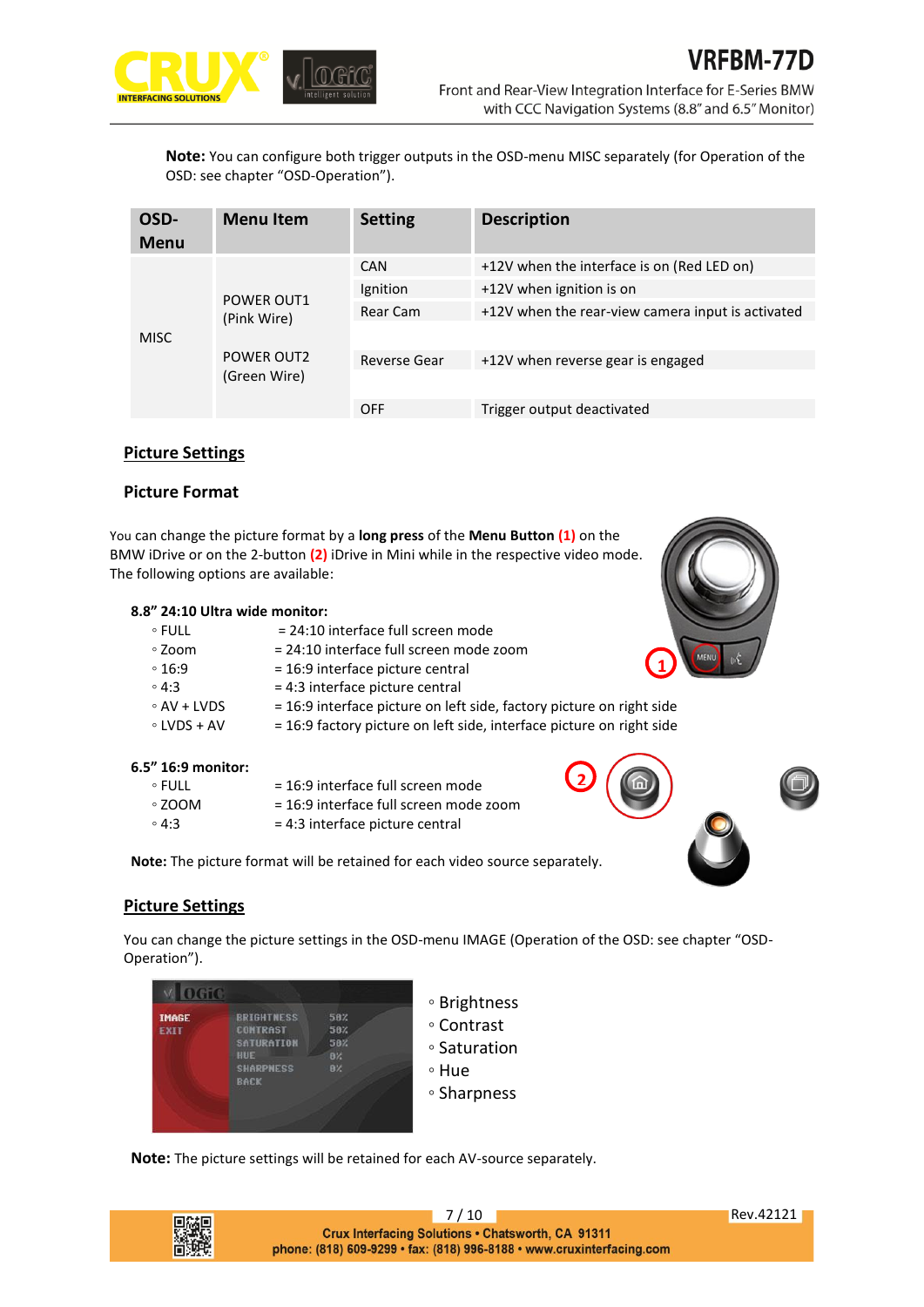

**Note:** You can configure both trigger outputs in the OSD-menu MISC separately (for Operation of the OSD: see chapter "OSD-Operation").

| OSD-<br><b>Menu</b> | <b>Menu</b> Item                  | <b>Setting</b> | <b>Description</b>                                |
|---------------------|-----------------------------------|----------------|---------------------------------------------------|
| <b>MISC</b>         | <b>POWER OUT1</b><br>(Pink Wire)  | CAN            | +12V when the interface is on (Red LED on)        |
|                     |                                   | Ignition       | +12V when ignition is on                          |
|                     |                                   | Rear Cam       | +12V when the rear-view camera input is activated |
|                     |                                   |                |                                                   |
|                     | <b>POWER OUT2</b><br>(Green Wire) | Reverse Gear   | +12V when reverse gear is engaged                 |
|                     |                                   |                |                                                   |
|                     |                                   | <b>OFF</b>     | Trigger output deactivated                        |

#### **Picture Settings**

#### **Picture Format**

You can change the picture format by a **long press** of the **Menu Button (1)** on the BMW iDrive or on the 2-button **(2)** iDrive in Mini while in the respective video mode. The following options are available:

#### **8.8" 24:10 Ultra wide monitor:**

| $\circ$ FULL      | = 24:10 interface full screen mode                                   |
|-------------------|----------------------------------------------------------------------|
| ∘ Zoom            | = 24:10 interface full screen mode zoom                              |
| $\circ$ 16:9      | = 16:9 interface picture central                                     |
| $\circ$ 4:3       | = 4:3 interface picture central                                      |
| $\circ$ AV + LVDS | = 16:9 interface picture on left side, factory picture on right side |
| $\circ$ LVDS + AV | = 16:9 factory picture on left side, interface picture on right side |
|                   |                                                                      |

#### **6.5" 16:9 monitor:**

| ∘ FULL      | = 16:9 interface full screen mode      |
|-------------|----------------------------------------|
| ∘ ZOOM ≀    | = 16:9 interface full screen mode zoom |
| $\circ$ 4:3 | $= 4:3$ interface picture central      |

**Note:** The picture format will be retained for each video source separately.

## **Picture Settings**

You can change the picture settings in the OSD-menu IMAGE (Operation of the OSD: see chapter "OSD-Operation").



◦ Contrast

**2**

◦ Saturation

◦ Hue

◦ Sharpness

**Note:** The picture settings will be retained for each AV-source separately.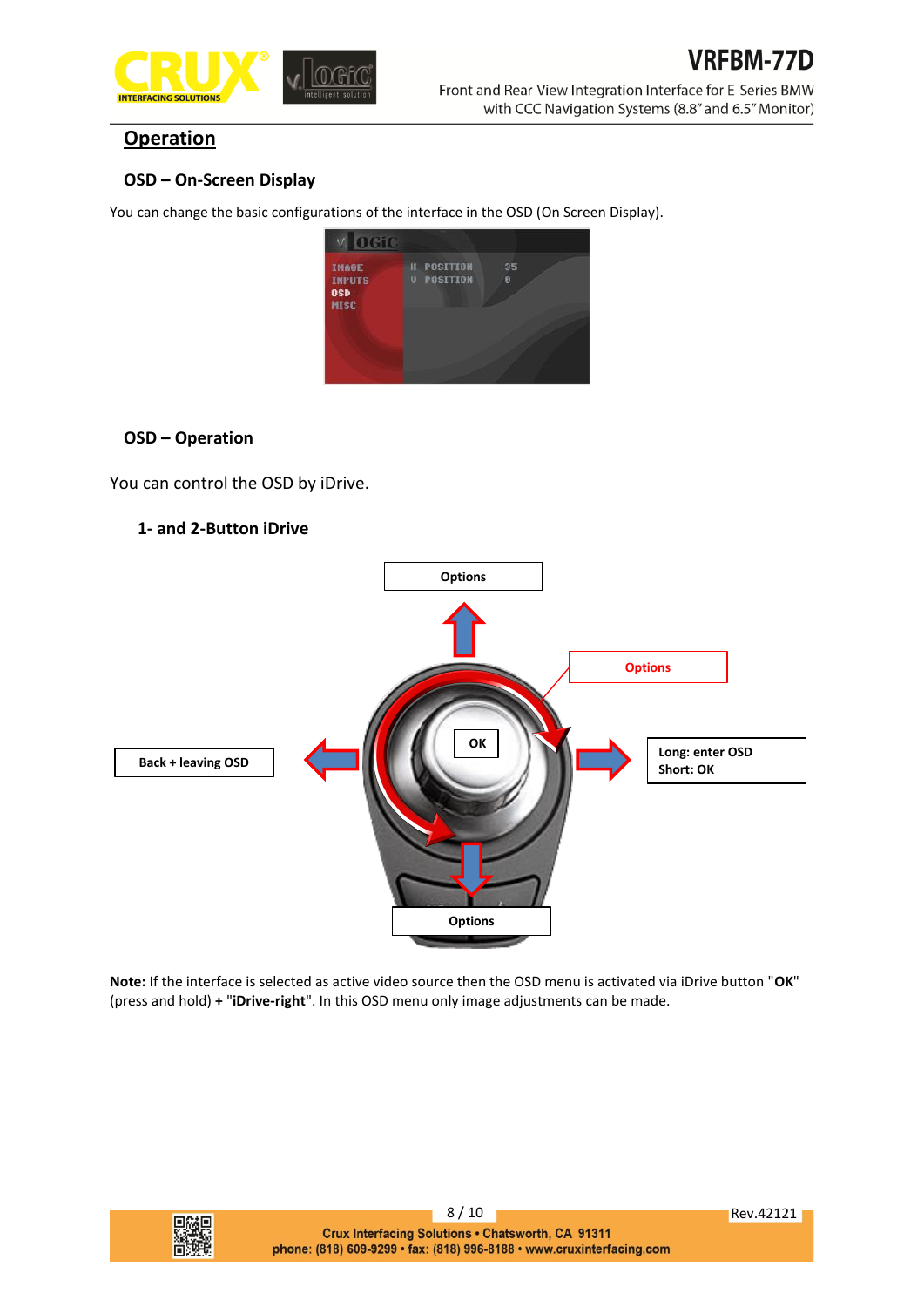

# **Operation**

# **OSD – On-Screen Display**

You can change the basic configurations of the interface in the OSD (On Screen Display).



# **OSD – Operation**

You can control the OSD by iDrive.

# **1- and 2-Button iDrive**



**Note:** If the interface is selected as active video source then the OSD menu is activated via iDrive button "**OK**" (press and hold) **+** "**iDrive-right**". In this OSD menu only image adjustments can be made.

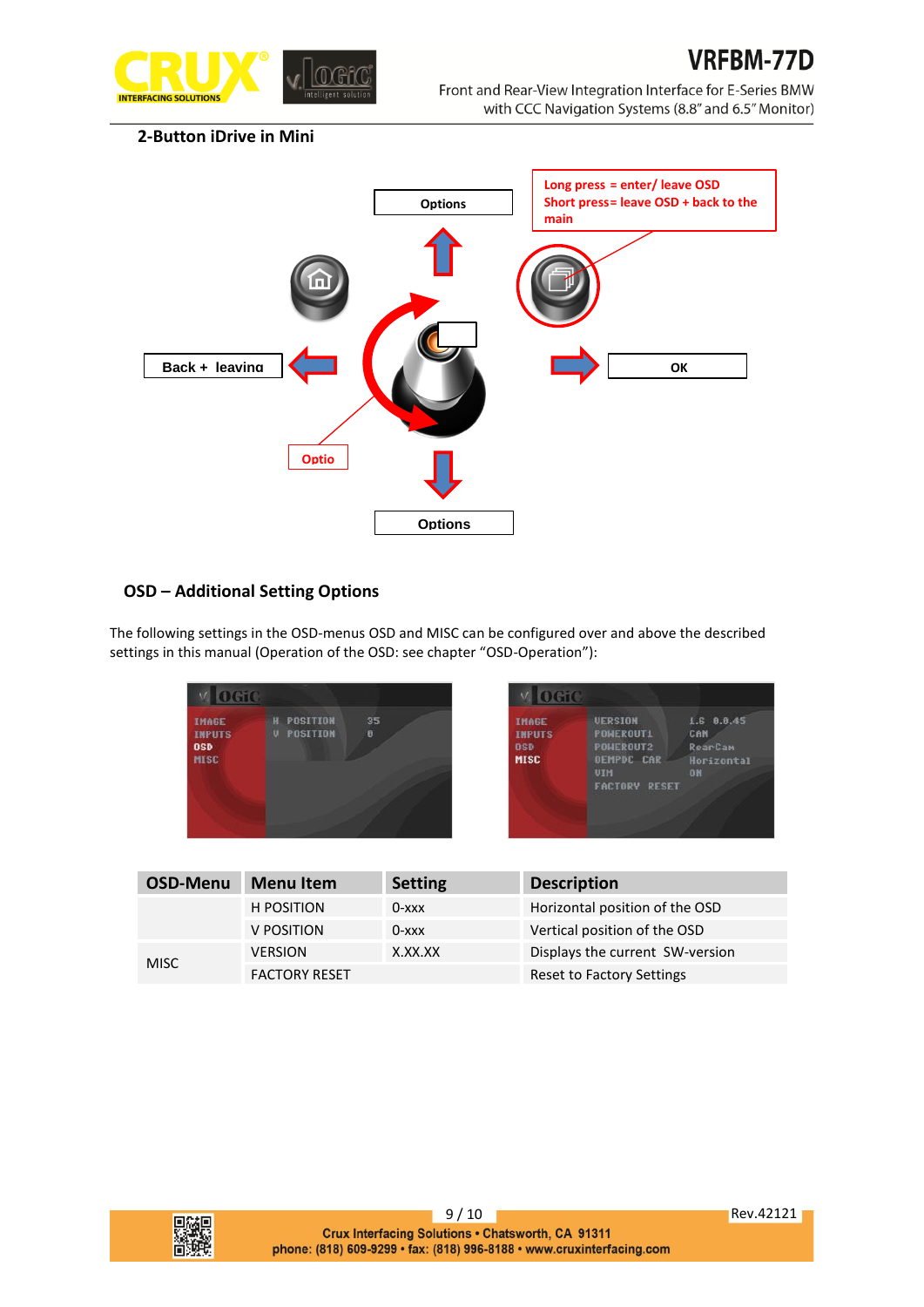

## **2-Button iDrive in Mini**



# **OSD – Additional Setting Options**

The following settings in the OSD-menus OSD and MISC can be configured over and above the described settings in this manual (Operation of the OSD: see chapter "OSD-Operation"):

| neto                                                       |                                        |         | OGIO                                                       |                                                                                                            |                                                                |
|------------------------------------------------------------|----------------------------------------|---------|------------------------------------------------------------|------------------------------------------------------------------------------------------------------------|----------------------------------------------------------------|
| <b>IMAGE</b><br><b>INPUTS</b><br><b>OSD</b><br><b>MISC</b> | <b>H POSITION</b><br><b>U POSITION</b> | 35<br>ø | <b>IMAGE</b><br><b>INPUTS</b><br><b>OSD</b><br><b>MISC</b> | <b>UERSION</b><br><b>POWEROUT1</b><br><b>POWEROUT2</b><br><b>OEMPDC CAR</b><br>UIM<br><b>FACTORY RESET</b> | 1.6 0.0.45<br>CAN<br><b>RearCam</b><br>Horizontal<br><b>DN</b> |

| OSD-Menu                                                         | <b>Menu Item</b>          | <b>Setting</b>   | <b>Description</b>              |
|------------------------------------------------------------------|---------------------------|------------------|---------------------------------|
|                                                                  | <b>H POSITION</b>         | $0 - x \times x$ | Horizontal position of the OSD  |
|                                                                  | V POSITION                | $0 - x \times x$ | Vertical position of the OSD    |
| X.XX.XX<br><b>VERSION</b><br><b>MISC</b><br><b>FACTORY RESET</b> |                           |                  | Displays the current SW-version |
|                                                                  | Reset to Factory Settings |                  |                                 |